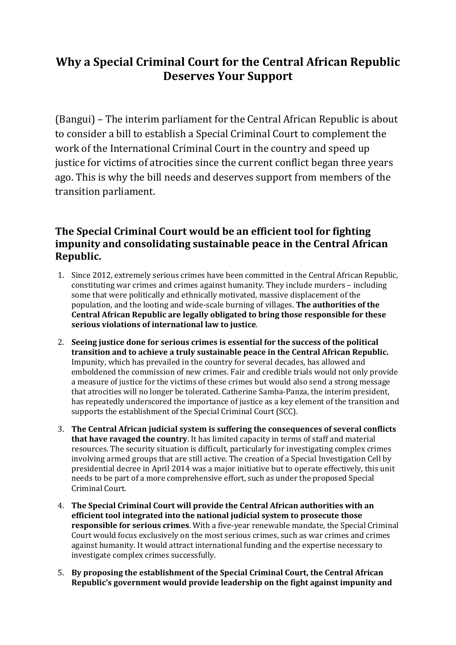# **Why a Special Criminal Court for the Central African Republic Deserves Your Support**

(Bangui) – The interim parliament for the Central African Republic is about to consider a bill to establish a Special Criminal Court to complement the work of the International Criminal Court in the country and speed up justice for victims of atrocities since the current conflict began three years ago. This is why the bill needs and deserves support from members of the transition parliament.

## **The Special Criminal Court would be an efficient tool for fighting impunity and consolidating sustainable peace in the Central African Republic.**

- 1. Since 2012, extremely serious crimes have been committed in the Central African Republic, constituting war crimes and crimes against humanity. They include murders – including some that were politically and ethnically motivated, massive displacement of the population, and the looting and wide-scale burning of villages. **The authorities of the Central African Republic are legally obligated to bring those responsible for these serious violations of international law to justice**.
- 2. **Seeing justice done for serious crimes is essential for the success of the political transition and to achieve a truly sustainable peace in the Central African Republic.** Impunity, which has prevailed in the country for several decades, has allowed and emboldened the commission of new crimes. Fair and credible trials would not only provide a measure of justice for the victims of these crimes but would also send a strong message that atrocities will no longer be tolerated. Catherine Samba-Panza, the interim president, has repeatedly underscored the importance of justice as a key element of the transition and supports the establishment of the Special Criminal Court (SCC).
- 3. **The Central African judicial system is suffering the consequences of several conflicts that have ravaged the country**. It has limited capacity in terms of staff and material resources. The security situation is difficult, particularly for investigating complex crimes involving armed groups that are still active. The creation of a Special Investigation Cell by presidential decree in April 2014 was a major initiative but to operate effectively, this unit needs to be part of a more comprehensive effort, such as under the proposed Special Criminal Court.
- 4. **The Special Criminal Court will provide the Central African authorities with an efficient tool integrated into the national judicial system to prosecute those responsible for serious crimes**. With a five-year renewable mandate, the Special Criminal Court would focus exclusively on the most serious crimes, such as war crimes and crimes against humanity. It would attract international funding and the expertise necessary to investigate complex crimes successfully.
- 5. **By proposing the establishment of the Special Criminal Court, the Central African Republic's government would provide leadership on the fight against impunity and**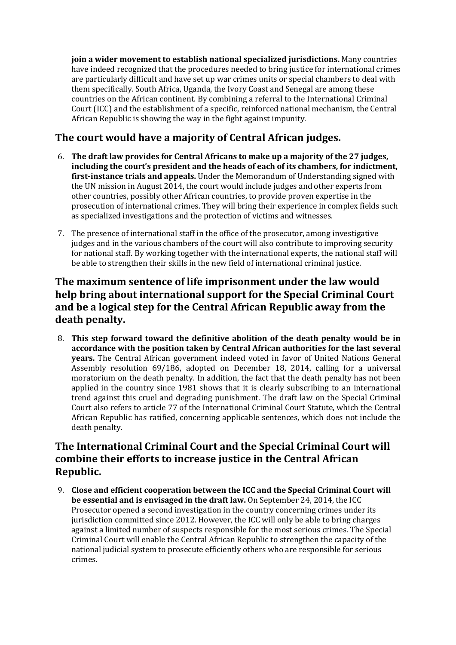**join a wider movement to establish national specialized jurisdictions.** Many countries have indeed recognized that the procedures needed to bring justice for international crimes are particularly difficult and have set up war crimes units or special chambers to deal with them specifically. South Africa, Uganda, the Ivory Coast and Senegal are among these countries on the African continent. By combining a referral to the International Criminal Court (ICC) and the establishment of a specific, reinforced national mechanism, the Central African Republic is showing the way in the fight against impunity.

### **The court would have a majority of Central African judges.**

- 6. **The draft law provides for Central Africans to make up a majority of the 27 judges, including the court's president and the heads of each of its chambers, for indictment, first-instance trials and appeals.** Under the Memorandum of Understanding signed with the UN mission in August 2014, the court would include judges and other experts from other countries, possibly other African countries, to provide proven expertise in the prosecution of international crimes. They will bring their experience in complex fields such as specialized investigations and the protection of victims and witnesses.
- 7. The presence of international staff in the office of the prosecutor, among investigative judges and in the various chambers of the court will also contribute to improving security for national staff. By working together with the international experts, the national staff will be able to strengthen their skills in the new field of international criminal justice.

### **The maximum sentence of life imprisonment under the law would help bring about international support for the Special Criminal Court and be a logical step for the Central African Republic away from the death penalty.**

8. **This step forward toward the definitive abolition of the death penalty would be in accordance with the position taken by Central African authorities for the last several years.** The Central African government indeed voted in favor of United Nations General Assembly resolution 69/186, adopted on December 18, 2014, calling for a universal moratorium on the death penalty. In addition, the fact that the death penalty has not been applied in the country since 1981 shows that it is clearly subscribing to an international trend against this cruel and degrading punishment. The draft law on the Special Criminal Court also refers to article 77 of the International Criminal Court Statute, which the Central African Republic has ratified, concerning applicable sentences, which does not include the death penalty.

### **The International Criminal Court and the Special Criminal Court will combine their efforts to increase justice in the Central African Republic.**

9. **Close and efficient cooperation between the ICC and the Special Criminal Court will be essential and is envisaged in the draft law.** On September 24, 2014, the ICC Prosecutor opened a second investigation in the country concerning crimes under its jurisdiction committed since 2012. However, the ICC will only be able to bring charges against a limited number of suspects responsible for the most serious crimes. The Special Criminal Court will enable the Central African Republic to strengthen the capacity of the national judicial system to prosecute efficiently others who are responsible for serious crimes.